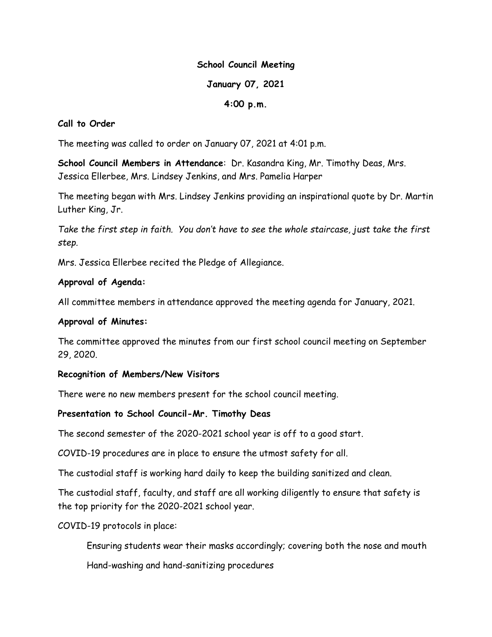#### School Council Meeting

## January 07, 2021

# 4:00 p.m.

## Call to Order

The meeting was called to order on January 07, 2021 at 4:01 p.m.

School Council Members in Attendance: Dr. Kasandra King, Mr. Timothy Deas, Mrs. Jessica Ellerbee, Mrs. Lindsey Jenkins, and Mrs. Pamelia Harper

The meeting began with Mrs. Lindsey Jenkins providing an inspirational quote by Dr. Martin Luther King, Jr.

Take the first step in faith. You don't have to see the whole staircase, just take the first step.

Mrs. Jessica Ellerbee recited the Pledge of Allegiance.

# Approval of Agenda:

All committee members in attendance approved the meeting agenda for January, 2021.

## Approval of Minutes:

The committee approved the minutes from our first school council meeting on September 29, 2020.

## Recognition of Members/New Visitors

There were no new members present for the school council meeting.

## Presentation to School Council-Mr. Timothy Deas

The second semester of the 2020-2021 school year is off to a good start.

COVID-19 procedures are in place to ensure the utmost safety for all.

The custodial staff is working hard daily to keep the building sanitized and clean.

The custodial staff, faculty, and staff are all working diligently to ensure that safety is the top priority for the 2020-2021 school year.

COVID-19 protocols in place:

Ensuring students wear their masks accordingly; covering both the nose and mouth

Hand-washing and hand-sanitizing procedures